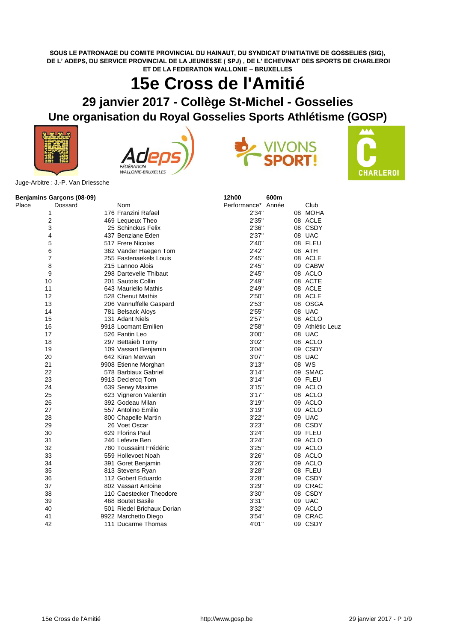## **SOUS LE PATRONAGE DU COMITE PROVINCIAL DU HAINAUT, DU SYNDICAT D'INITIATIVE DE GOSSELIES (SIG), DE L' ADEPS, DU SERVICE PROVINCIAL DE LA JEUNESSE ( SPJ) , DE L' ECHEVINAT DES SPORTS DE CHARLEROI ET DE LA FEDERATION WALLONIE – BRUXELLES**

## **15e Cross de l'Amitié**

## **29 janvier 2017 - Collège St-Michel - Gosselies Une organisation du Royal Gosselies Sports Athlétisme (GOSP)**









Juge-Arbitre : J.-P. Van Driessche

| Benjamins Garçons (08-09) |                            | 12h00              | 600m |                  |
|---------------------------|----------------------------|--------------------|------|------------------|
| Place<br>Dossard          | Nom                        | Performance* Année |      | Club             |
| 1                         | 176 Franzini Rafael        | 2'34"              |      | 08 MOHA          |
| $\overline{2}$            | 469 Lequeux Theo           | 2'35"              |      | 08 ACLE          |
| 3                         | 25 Schinckus Felix         | 2'36"              |      | 08 CSDY          |
| 4                         | 437 Benziane Eden          | 2'37"              |      | 08 UAC           |
| 5                         | 517 Frere Nicolas          | 2'40"              |      | 08 FLEU          |
| 6                         | 362 Vander Haegen Tom      | 2'42"              |      | 08 ATH           |
| 7                         | 255 Fastenaekels Louis     | 2'45"              |      | 08 ACLE          |
| 8                         | 215 Lannoo Alois           | 2'45"              |      | 09 CABW          |
| 9                         | 298 Dartevelle Thibaut     | 2'45"              |      | 08 ACLO          |
| 10                        | 201 Sautois Collin         | 2'49''             |      | 08 ACTE          |
| 11                        | 643 Mauriello Mathis       | 2'49"              |      | 08 ACLE          |
| 12                        | 528 Chenut Mathis          | 2'50"              |      | 08 ACLE          |
| 13                        | 206 Vannuffelle Gaspard    | 2'53"              |      | 08 OSGA          |
| 14                        | 781 Belsack Aloys          | 2'55"              |      | 08 UAC           |
| 15                        | 131 Adant Niels            | 2'57''             |      | 08 ACLO          |
| 16                        | 9918 Locmant Emilien       | 2'58"              |      | 09 Athlétic Leuz |
| 17                        | 526 Fantin Leo             | 3'00"              |      | 08 UAC           |
| 18                        | 297 Bettaieb Tomy          | 3'02"              |      | 08 ACLO          |
| 19                        | 109 Vassart Benjamin       | 3'04"              |      | 09 CSDY          |
| 20                        | 642 Kiran Merwan           | 3'07"              |      | 08 UAC           |
| 21                        | 9908 Etienne Morghan       | 3'13''             |      | 08 WS            |
| 22                        | 578 Barbiaux Gabriel       | 3'14"              |      | 09 SMAC          |
| 23                        | 9913 Declercq Tom          | 3'14"              |      | 09 FLEU          |
| 24                        | 639 Serwy Maxime           | 3'15''             |      | 09 ACLO          |
| 25                        | 623 Vigneron Valentin      | 3'17''             |      | 08 ACLO          |
| 26                        | 392 Godeau Milan           | 3'19"              |      | 09 ACLO          |
| 27                        | 557 Antolino Emilio        | 3'19''             |      | 09 ACLO          |
| 28                        | 800 Chapelle Martin        | 3'22"              |      | 09 UAC           |
| 29                        | 26 Voet Oscar              | 3'23"              |      | 08 CSDY          |
| 30                        | 629 Florins Paul           | 3'24"              |      | 09 FLEU          |
| 31                        | 246 Lefevre Ben            | 3'24"              |      | 09 ACLO          |
| 32                        | 780 Toussaint Frédéric     | 3'25"              |      | 09 ACLO          |
| 33                        | 559 Hollevoet Noah         | 3'26"              |      | 08 ACLO          |
| 34                        | 391 Goret Benjamin         | 3'26''             |      | 09 ACLO          |
| 35                        | 813 Stevens Ryan           | 3'28''             |      | 08 FLEU          |
| 36                        | 112 Gobert Eduardo         | 3'28"              |      | 09 CSDY          |
| 37                        | 802 Vassart Antoine        | 3'29"              |      | 09 CRAC          |
| 38                        | 110 Caestecker Theodore    | 3'30"              |      | 08 CSDY          |
| 39                        | 468 Boutet Basile          | 3'31''             |      | 09 UAC           |
| 40                        | 501 Riedel Brichaux Dorian | 3'32"              |      | 09 ACLO          |
| 41                        | 9922 Marchetto Diego       | 3'54"              |      | 09 CRAC          |
| 42                        | 111 Ducarme Thomas         | 4'01"              |      | 09 CSDY          |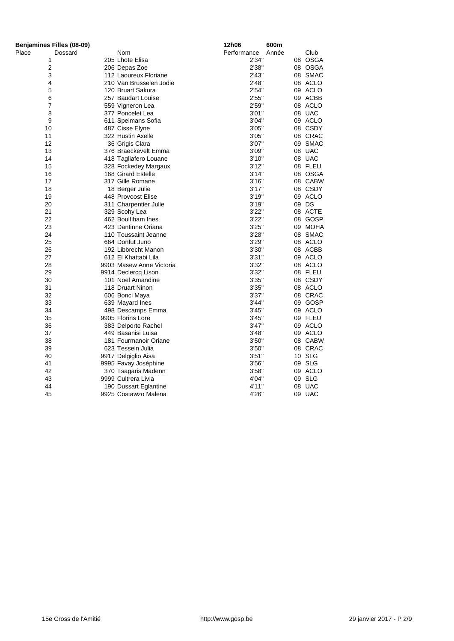| Benjamines Filles (08-09) |                                          | 12h06          | 600m               |
|---------------------------|------------------------------------------|----------------|--------------------|
| Place<br>Dossard          | Nom                                      | Performance    | Club<br>Année      |
| 1                         | 205 Lhote Elisa                          | 2'34"          | 08 OSGA            |
| 2                         | 206 Depas Zoe                            | 2'38"          | 08 OSGA            |
| 3                         | 112 Laoureux Floriane                    | 2'43"          | 08 SMAC            |
| 4                         | 210 Van Brusselen Jodie                  | 2'48"          | 08 ACLO            |
| 5                         | 120 Bruart Sakura                        | 2'54"          | 09 ACLO            |
| 6                         | 257 Baudart Louise                       | 2'55"          | 09 ACBB            |
| 7                         | 559 Vigneron Lea                         | 2'59"          | 08 ACLO            |
| 8                         | 377 Poncelet Lea                         | 3'01"          | 08 UAC             |
| 9                         | 611 Spelmans Sofia                       | 3'04"          | 09 ACLO            |
| 10                        | 487 Cisse Elyne                          | 3'05"          | 08 CSDY            |
| 11                        | 322 Hustin Axelle                        | 3'05"          | 08 CRAC            |
| 12                        | 36 Grigis Clara                          | 3'07''         | 09 SMAC            |
| 13                        | 376 Braeckevelt Emma                     | 3'09"          | 08 UAC             |
| 14                        | 418 Tagliafero Louane                    | 3'10''         | 08 UAC             |
| 15                        | 328 Fockedey Margaux                     | 3'12"          | 08 FLEU            |
| 16                        | 168 Girard Estelle                       | 3'14"          | 08 OSGA            |
| 17                        | 317 Gille Romane                         | 3'16''         | 08 CABW            |
| 18                        | 18 Berger Julie                          | 3'17''         | 08 CSDY            |
| 19                        | 448 Provoost Elise                       | 3'19''         | 09 ACLO            |
| 20                        | 311 Charpentier Julie                    | 3'19''         | 09 DS              |
| 21                        | 329 Scohy Lea                            | 3'22"          | 08 ACTE            |
| 22                        | 462 Boulfiham Ines                       | 3'22"          | 08 GOSP            |
| 23                        | 423 Dantinne Oriana                      | 3'25"          | 09 MOHA            |
| 24                        | 110 Toussaint Jeanne                     | 3'28''         | 08 SMAC            |
| 25                        | 664 Donfut Juno                          | 3'29"          | 08 ACLO            |
| 26                        | 192 Libbrecht Manon                      | 3'30"          | 08 ACBB            |
| 27                        | 612 El Khattabi Lila                     | 3'31''         | 09 ACLO            |
| 28                        | 9903 Masew Anne Victoria                 | 3'32"          | 08 ACLO            |
| 29<br>30                  | 9914 Declercq Lison<br>101 Noel Amandine | 3'32"<br>3'35" | 08 FLEU<br>08 CSDY |
| 31                        | 118 Druart Ninon                         | 3'35"          | 08 ACLO            |
| 32                        | 606 Bonci Maya                           | 3'37"          | 08 CRAC            |
| 33                        | 639 Mayard Ines                          | 3'44"          | 09 GOSP            |
| 34                        | 498 Descamps Emma                        | 3'45''         | 09 ACLO            |
| 35                        | 9905 Florins Lore                        | 3'45''         | 09 FLEU            |
| 36                        | 383 Delporte Rachel                      | 3'47''         | 09 ACLO            |
| 37                        | 449 Basanisi Luisa                       | 3'48"          | 09 ACLO            |
| 38                        | 181 Fourmanoir Oriane                    | 3'50"          | 08 CABW            |
| 39                        | 623 Tessein Julia                        | 3'50"          | 08 CRAC            |
| 40                        | 9917 Delgiglio Aisa                      | 3'51''         | 10 SLG             |
| 41                        | 9995 Favay Joséphine                     | 3'56''         | 09 SLG             |
| 42                        | 370 Tsagaris Madenn                      | 3'58''         | 09 ACLO            |
| 43                        | 9999 Cultrera Livia                      | 4'04"          | 09 SLG             |
| 44                        | 190 Dussart Eglantine                    | 4'11"          | 08 UAC             |
| 45                        | 9925 Costawzo Malena                     | 4'26"          | 09 UAC             |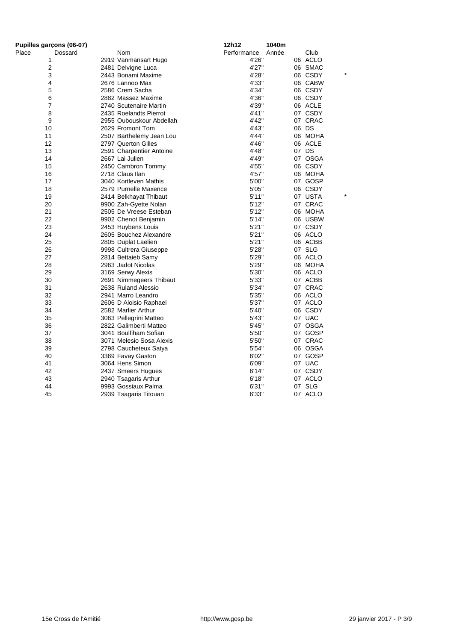| Pupilles garçons (06-07) |                          | 12h12       | 1040m |         |
|--------------------------|--------------------------|-------------|-------|---------|
| Place<br>Dossard         | Nom                      | Performance | Année | Club    |
| 1                        | 2919 Vanmansart Hugo     | 4'26"       |       | 06 ACLO |
| 2                        | 2481 Delvigne Luca       | 4'27"       |       | 06 SMAC |
| 3                        | 2443 Bonami Maxime       | 4'28"       |       | 06 CSDY |
| 4                        | 2676 Lannoo Max          | 4'33"       |       | 06 CABW |
| 5                        | 2586 Crem Sacha          | 4'34"       |       | 06 CSDY |
| 6                        | 2882 Massez Maxime       | 4'36"       |       | 06 CSDY |
| 7                        | 2740 Scutenaire Martin   | 4'39"       |       | 06 ACLE |
| 8                        | 2435 Roelandts Pierrot   | 4'41"       |       | 07 CSDY |
| 9                        | 2955 Oubouskour Abdellah | 4'42"       |       | 07 CRAC |
| 10                       | 2629 Fromont Tom         | 4'43"       |       | 06 DS   |
| 11                       | 2507 Barthelemy Jean Lou | 4'44"       |       | 06 MOHA |
| 12                       | 2797 Querton Gilles      | 4'46"       |       | 06 ACLE |
| 13                       | 2591 Charpentier Antoine | 4'48"       |       | 07 DS   |
| 14                       | 2667 Lai Julien          | 4'49"       |       | 07 OSGA |
| 15                       | 2450 Cambron Tommy       | 4'55"       |       | 06 CSDY |
| 16                       | 2718 Claus Ilan          | 4'57"       |       | 06 MOHA |
| 17                       | 3040 Kortleven Mathis    | 5'00"       |       | 07 GOSP |
| 18                       | 2579 Purnelle Maxence    | 5'05"       |       | 06 CSDY |
| 19                       | 2414 Belkhayat Thibaut   | 5'11"       |       | 07 USTA |
| 20                       | 9900 Zah-Gyette Nolan    | 5'12"       |       | 07 CRAC |
| 21                       | 2505 De Vreese Esteban   | 5'12"       |       | 06 MOHA |
| 22                       | 9902 Chenot Benjamin     | 5'14"       |       | 06 USBW |
| 23                       | 2453 Huybens Louis       | 5'21''      |       | 07 CSDY |
| 24                       | 2605 Bouchez Alexandre   | 5'21''      |       | 06 ACLO |
| 25                       | 2805 Duplat Laelien      | 5'21''      |       | 06 ACBB |
| 26                       | 9998 Cultrera Giuseppe   | 5'28"       |       | 07 SLG  |
| 27                       | 2814 Bettaieb Samy       | 5'29"       |       | 06 ACLO |
| 28                       | 2963 Jadot Nicolas       | 5'29"       |       | 06 MOHA |
| 29                       | 3169 Serwy Alexis        | 5'30"       |       | 06 ACLO |
| 30                       | 2691 Nimmegeers Thibaut  | 5'33"       |       | 07 ACBB |
| 31                       | 2638 Ruland Alessio      | 5'34"       |       | 07 CRAC |
| 32                       | 2941 Marro Leandro       | 5'35"       |       | 06 ACLO |
| 33                       | 2606 D Aloisio Raphael   | 5'37"       |       | 07 ACLO |
| 34                       | 2582 Marlier Arthur      | 5'40"       |       | 06 CSDY |
| 35                       | 3063 Pellegrini Matteo   | 5'43"       |       | 07 UAC  |
| 36                       | 2822 Galimberti Matteo   | 5'45"       |       | 07 OSGA |
| 37                       | 3041 Boulfiham Sofian    | 5'50"       |       | 07 GOSP |
| 38                       | 3071 Melesio Sosa Alexis | 5'50"       |       | 07 CRAC |
| 39                       | 2798 Caucheteux Satya    | 5'54"       |       | 06 OSGA |
| 40                       | 3369 Favay Gaston        | 6'02"       |       | 07 GOSP |
| 41                       | 3064 Hens Simon          | 6'09"       |       | 07 UAC  |
| 42                       | 2437 Smeers Hugues       | 6'14"       |       | 07 CSDY |
| 43                       | 2940 Tsagaris Arthur     | 6'18"       |       | 07 ACLO |
| 44                       | 9993 Gossiaux Palma      | 6'31"       |       | 07 SLG  |
| 45                       | 2939 Tsagaris Titouan    | 6'33"       |       | 07 ACLO |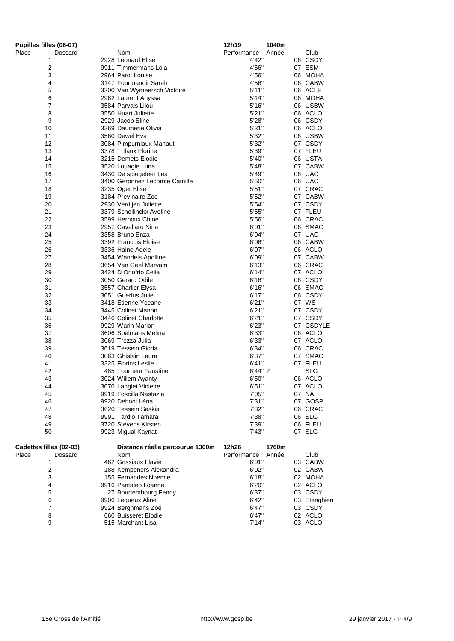| Pupilles filles (06-07) |                                             | 12h19<br>1040m       |              |
|-------------------------|---------------------------------------------|----------------------|--------------|
| Place<br>Dossard        | Nom                                         | Performance<br>Année | Club         |
| 1                       | 2928 Leonard Elise                          | 4'42"                | 06 CSDY      |
| 2                       | 9911 Timmermans Lola                        | 4'56"                | 07 ESM       |
| 3                       | 2964 Parot Louise                           | 4'56"                | 06 MOHA      |
| 4                       | 3147 Fourmanoir Sarah                       | 4'56"                | 06 CABW      |
| 5                       | 3200 Van Wymeersch Victoire                 | 5'11"                | 06 ACLE      |
| 6                       | 2962 Laurent Anyssa                         | 5'14"                | 06 MOHA      |
| 7                       | 3584 Parvais Lilou                          | 5'16''               | 06 USBW      |
| 8                       | 3550 Huart Juliette                         | 5'21"                | 06 ACLO      |
| 9                       | 2929 Jacob Eline                            | 5'28"                | 06 CSDY      |
| 10                      | 3369 Daumerie Olivia                        | 5'31''               | 06 ACLO      |
| 11                      | 3560 Dewel Eva                              | 5'32"                | 06 USBW      |
| 12                      | 3084 Pimpurniaux Mahaut                     | 5'32"                | 07 CSDY      |
| 13                      | 3378 Trifaux Florine                        | 5'39"                | 07 FLEU      |
| 14                      | 3215 Demets Elodie                          | 5'40"                | 06 USTA      |
| 15                      | 3520 Louagie Luna                           | 5'48"                | 07 CABW      |
| 16                      | 3430 De spiegeleer Lea                      | 5'49"                | 06 UAC       |
| 17                      | 3400 Geronnez Lecomte Camille               | 5'50"                | 06 UAC       |
| 18                      | 3235 Oger Elise                             | 5'51''               | 07 CRAC      |
| 19                      | 3184 Previnaire Zoe                         | 5'52"                | 07 CABW      |
| 20                      | 2930 Verdijen Juliette                      | 5'54"                | 07 CSDY      |
| 21                      | 3379 Schollinckx Avoline                    | 5'55"                | 07 FLEU      |
| 22                      | 3599 Hernoux Chloe                          | 5'56"                | 06 CRAC      |
| 23                      | 2957 Cavallaro Nina                         | 6'01"                | 06 SMAC      |
| 24                      | 3358 Bruno Enza                             | 6'04"                | 07 UAC       |
| 25                      | 3392 Francois Eloise                        | 6'06"                | 06 CABW      |
| 26                      | 3336 Haine Adele                            | 6'07"                | 06 ACLO      |
| 27                      | 3454 Wandels Apolline                       | 6'09"                | 07 CABW      |
| 28                      | 3654 Van Geel Maryam                        | 6'13''               | 06 CRAC      |
| 29                      | 3424 D Onofrio Celia                        | 6'14"                | 07 ACLO      |
| 30                      | 3050 Gerard Odile                           | 6'16''               | 06 CSDY      |
| 31                      | 3557 Charlier Elysa                         | 6'16"                | 06 SMAC      |
| 32                      | 3051 Guerlus Julie                          | 6'17''               | 06 CSDY      |
| 33                      | 3418 Etienne Yceane                         | 6'21''               | 07 WS        |
| 34                      | 3445 Colinet Manon                          | 6'21''               | 07 CSDY      |
| 35                      | 3446 Colinet Charlotte                      | 6'21''               | 07 CSDY      |
| 36                      | 9929 Warin Marion                           | 6'23"                | 07 CSDYLE    |
| 37                      | 3606 Spelmans Melina                        | 6'33"                | 06 ACLO      |
| 38                      | 3069 Trezza Julia                           | 6'33"                | 07 ACLO      |
| 39                      | 3619 Tessein Gloria                         | 6'34"                | 06 CRAC      |
| 40                      | 3063 Ghislain Laura                         | 6'37"                | 07 SMAC      |
| 41                      | 3325 Florins Leslie                         | 6'41''               | 07 FLEU      |
| 42                      | 485 Tourneur Faustine                       | $6'44''$ ?           | SLG          |
| 43                      | 3024 Willem Ayanty                          | 6'50"                | 06 ACLO      |
| 44                      | 3070 Langlet Violette                       | 6'51''               | 07 ACLO      |
| 45                      | 9919 Foscilla Nastazia                      | 7'05"                | 07 NA        |
| 46                      | 9920 Dehont Léna                            | 7'31''               | 07 GOSP      |
| 47                      | 3620 Tessein Saskia                         | 7'32"                | 06 CRAC      |
| 48                      | 9991 Tardjo Tamara                          | 7'38"                | 06 SLG       |
| 49                      | 3720 Stevens Kirsten                        | 7'39"                | 06 FLEU      |
| 50                      | 9923 Migual Kaynat                          | 7'43"                | 07 SLG       |
| Cadettes filles (02-03) | Distance réelle parcourue 1300m             | 12h26<br>1760m       |              |
| Place<br>Dossard        | Nom                                         | Performance<br>Année | Club         |
| 1                       | 462 Gossiaux Flavie                         | 6'01"                | 03 CABW      |
| $\boldsymbol{2}$        | 188 Kempeners Alexandra                     | 6'02"                | 02 CABW      |
| 3                       | 155 Fernandes Noemie                        | 6'18"                | 02 MOHA      |
| 4                       | 9916 Pantaleo Loanne                        | 6'20"                | 02 ACLO      |
| 5                       |                                             |                      | 03 CSDY      |
| 6                       | 27 Bourtembourg Fanny<br>9906 Lequeux Aline | 6'37"<br>6'42"       | 03 Etenghien |
| 7                       | 9924 Berghmans Zoé                          | 6'47"                | 03 CSDY      |
| 8                       | 660 Buisseret Elodie                        | 6'47"                | 02 ACLO      |
| 9                       | 515 Marchant Lisa                           | 7'14"                | 03 ACLO      |
|                         |                                             |                      |              |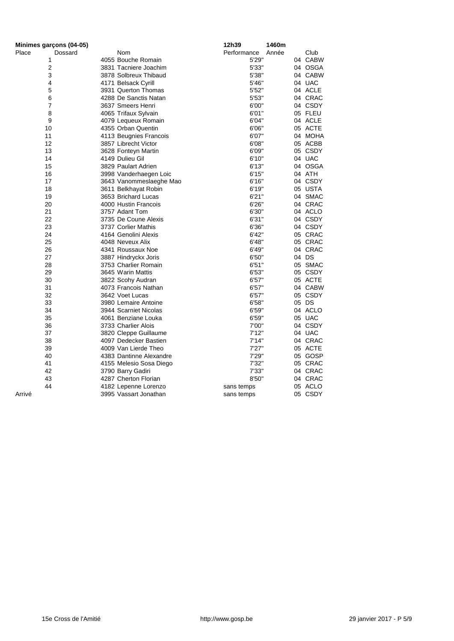| Minimes garçons (04-05) |                         | 12h39       | 1460m         |
|-------------------------|-------------------------|-------------|---------------|
| Place<br>Dossard        | Nom                     | Performance | Club<br>Année |
| 1                       | 4055 Bouche Romain      | 5'29"       | 04 CABW       |
| 2                       | 3831 Tacniere Joachim   | 5'33"       | 04 OSGA       |
| 3                       | 3878 Solbreux Thibaud   | 5'38"       | 04 CABW       |
| 4                       | 4171 Belsack Cyrill     | 5'46"       | 04 UAC        |
| 5                       | 3931 Querton Thomas     | 5'52"       | 04 ACLE       |
| 6                       | 4288 De Sanctis Natan   | 5'53"       | 04 CRAC       |
| 7                       | 3637 Smeers Henri       | 6'00"       | 04 CSDY       |
| 8                       | 4065 Trifaux Sylvain    | 6'01"       | 05 FLEU       |
| 9                       | 4079 Lequeux Romain     | 6'04"       | 04 ACLE       |
| 10                      | 4355 Orban Quentin      | 6'06"       | 05 ACTE       |
| 11                      | 4113 Beugnies Francois  | 6'07"       | 04 MOHA       |
| 12                      | 3857 Librecht Victor    | 6'08"       | 05 ACBB       |
| 13                      | 3628 Fonteyn Martin     | 6'09"       | 05 CSDY       |
| 14                      | 4149 Dulieu Gil         | 6'10"       | 04 UAC        |
| 15                      | 3829 Paulart Adrien     | 6'13''      | 04 OSGA       |
| 16                      | 3998 Vanderhaegen Loic  | 6'15"       | 04 ATH        |
| 17                      | 3643 Vanommeslaeghe Mao | 6'16''      | 04 CSDY       |
| 18                      | 3611 Belkhayat Robin    | 6'19"       | 05 USTA       |
| 19                      | 3653 Brichard Lucas     | 6'21''      | 04 SMAC       |
| 20                      | 4000 Hustin Francois    | 6'26"       | 04 CRAC       |
| 21                      | 3757 Adant Tom          | 6'30"       | 04 ACLO       |
| 22                      | 3735 De Coune Alexis    | 6'31''      | 04 CSDY       |
| 23                      | 3737 Corlier Mathis     | 6'36"       | 04 CSDY       |
| 24                      | 4164 Genolini Alexis    | 6'42"       | 05 CRAC       |
| 25                      | 4048 Neveux Alix        | 6'48"       | 05 CRAC       |
| 26                      | 4341 Roussaux Noe       | 6'49"       | 04 CRAC       |
| 27                      | 3887 Hindryckx Joris    | 6'50"       | 04 DS         |
| 28                      | 3753 Charlier Romain    | 6'51''      | 05 SMAC       |
| 29                      | 3645 Warin Mattis       | 6'53"       | 05 CSDY       |
| 30                      | 3822 Scohy Audran       | 6'57''      | 05 ACTE       |
| 31                      | 4073 Francois Nathan    | 6'57"       | 04 CABW       |
| 32                      | 3642 Voet Lucas         | 6'57"       | 05 CSDY       |
| 33                      | 3980 Lemaire Antoine    | 6'58"       | 05 DS         |
| 34                      | 3944 Scarniet Nicolas   | 6'59"       | 04 ACLO       |
| 35                      | 4061 Benziane Louka     | 6'59"       | 05 UAC        |
| 36                      | 3733 Charlier Alois     | 7'00"       | 04 CSDY       |
| 37                      | 3820 Cleppe Guillaume   | 7'12"       | 04 UAC        |
| 38                      | 4097 Dedecker Bastien   | 7'14"       | 04 CRAC       |
| 39                      | 4009 Van Lierde Theo    | 7'27''      | 05 ACTE       |
| 40                      | 4383 Dantinne Alexandre | 7'29"       | 05 GOSP       |
| 41                      | 4155 Melesio Sosa Diego | 7'32"       | 05 CRAC       |
| 42                      | 3790 Barry Gadiri       | 7'33"       | 04 CRAC       |
| 43                      | 4287 Cherton Florian    | 8'50"       | 04 CRAC       |
| 44                      | 4182 Lepenne Lorenzo    | sans temps  | 05 ACLO       |
| Arrivé                  | 3995 Vassart Jonathan   | sans temps  | 05 CSDY       |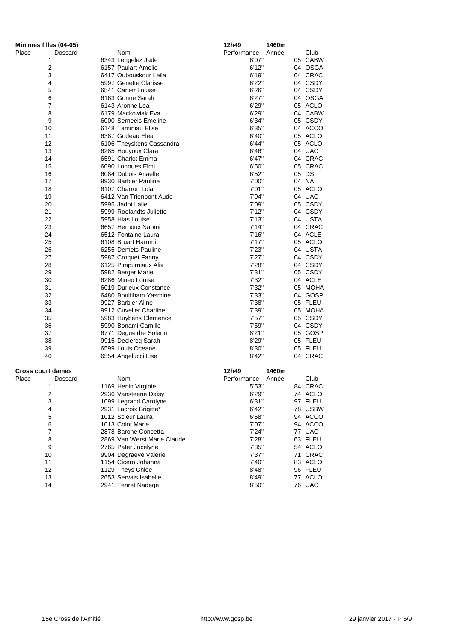| Minimes filles (04-05)   |                             | 12h49       | 1460m |         |
|--------------------------|-----------------------------|-------------|-------|---------|
| Place<br>Dossard         | Nom                         | Performance | Année | Club    |
| 1                        | 6343 Lengelez Jade          | 6'07"       |       | 05 CABW |
| 2                        | 6157 Paulart Amelie         | 6'12"       |       | 04 OSGA |
| 3                        | 6417 Oubouskour Leila       | 6'19"       |       | 04 CRAC |
| 4                        | 5997 Genette Clarisse       | 6'22"       |       | 04 CSDY |
| 5                        | 6541 Carlier Louise         | 6'26"       |       | 04 CSDY |
| 6                        | 6163 Gonne Sarah            | 6'27''      |       | 04 OSGA |
| $\overline{\mathcal{I}}$ | 6143 Aronne Lea             | 6'29"       |       | 05 ACLO |
| 8                        | 6179 Mackowiak Eva          | 6'29"       |       | 04 CABW |
| 9                        | 6000 Serneels Emeline       | 6'34"       |       | 05 CSDY |
| 10                       | 6148 Taminiau Elise         | 6'35"       |       | 04 ACCO |
| 11                       | 6387 Godeau Elea            | 6'40"       |       | 05 ACLO |
| 12                       | 6106 Theyskens Cassandra    | 6'44"       |       | 05 ACLO |
| 13                       | 6285 Houyoux Clara          | 6'46"       |       | 04 UAC  |
| 14                       | 6591 Charlot Emma           | 6'47"       |       | 04 CRAC |
| 15                       | 6090 Lohoues Elmi           | 6'50"       |       | 05 CRAC |
| 16                       | 6084 Dubois Anaelle         | 6'52"       |       | 05 DS   |
| 17                       | 9930 Barbier Pauline        | 7'00"       |       | 04 NA   |
| 18                       | 6107 Charron Lola           | 7'01"       |       | 05 ACLO |
| 19                       | 6412 Van Trienpont Aude     | 7'04"       |       | 04 UAC  |
| 20                       | 5995 Jadot Lalie            | 7'09"       |       | 05 CSDY |
| 21                       | 5999 Roelandts Juliette     | 7'12''      |       | 04 CSDY |
| 22                       | 5958 Hias Louise            | 7'13''      |       | 04 USTA |
| 23                       | 6657 Hernoux Naomi          | 7'14"       |       | 04 CRAC |
| 24                       | 6512 Fontaine Laura         | 7'16"       |       | 04 ACLE |
| 25                       | 6108 Bruart Harumi          | 7'17''      |       | 05 ACLO |
| 26                       | 6255 Demets Pauline         | 7'23"       |       | 04 USTA |
| 27                       | 5987 Croquet Fanny          | 7'27''      |       | 04 CSDY |
| 28                       | 6125 Pimpurniaux Alix       | 7'28"       |       | 04 CSDY |
| 29                       | 5982 Berger Marie           | 7'31"       |       | 05 CSDY |
| 30                       | 6286 Mineo Louise           | 7'32"       |       | 04 ACLE |
| 31                       | 6019 Durieux Constance      | 7'32"       |       | 05 MOHA |
| 32                       | 6480 Boulfiham Yasmine      | 7'33"       |       | 04 GOSP |
| 33                       | 9927 Barbier Aline          | 7'38"       |       | 05 FLEU |
| 34                       | 9912 Cuvelier Charline      | 7'39"       |       | 05 MOHA |
| 35                       | 5983 Huybens Clemence       | 7'57"       |       | 05 CSDY |
| 36                       | 5990 Bonami Camille         | 7'59"       |       | 04 CSDY |
| 37                       | 6771 Degueldre Solenn       | 8'21''      |       | 05 GOSP |
| 38                       | 9915 Declercq Sarah         | 8'29"       |       | 05 FLEU |
| 39                       | 6599 Louis Oceane           | 8'30"       |       | 05 FLEU |
| 40                       | 6554 Angelucci Lise         | 8'42"       |       | 04 CRAC |
| <b>Cross court dames</b> |                             | 12h49       | 1460m |         |
| Place<br>Dossard         | Nom                         | Performance | Année | Club    |
| 1                        | 1169 Henin Virginie         | 5'53''      |       | 84 CRAC |
| $\overline{\mathbf{c}}$  | 2936 Vansteene Daisy        | 6'29"       |       | 74 ACLO |
| 3                        | 1099 Legrand Carolyne       | 6'31''      |       | 97 FLEU |
| 4                        | 2931 Lacroix Brigitte*      | 6'42"       |       | 78 USBW |
| 5                        | 1012 Scieur Laura           | 6'58"       |       | 94 ACCO |
| 6                        | 1013 Colot Marie            | 7'07"       |       | 94 ACCO |
| 7                        | 2878 Barone Concetta        | 7'24"       |       | 77 UAC  |
| 8                        | 2869 Van Werst Marie Claude | 7'28"       |       | 63 FLEU |
| 9                        | 2765 Pater Jocelyne         | 7'35"       |       | 54 ACLO |
| 10                       | 9904 Degraeve Valérie       | 7'37"       |       | 71 CRAC |
| 11                       | 1154 Cicero Johanna         | 7'40"       |       | 83 ACLO |
| 12                       | 1129 Theys Chloe            | 8'48"       |       | 96 FLEU |
| 13                       | 2653 Servais Isabelle       | 8'49"       |       | 77 ACLO |
| 14                       | 2941 Tenret Nadege          | 8'50"       |       | 76 UAC  |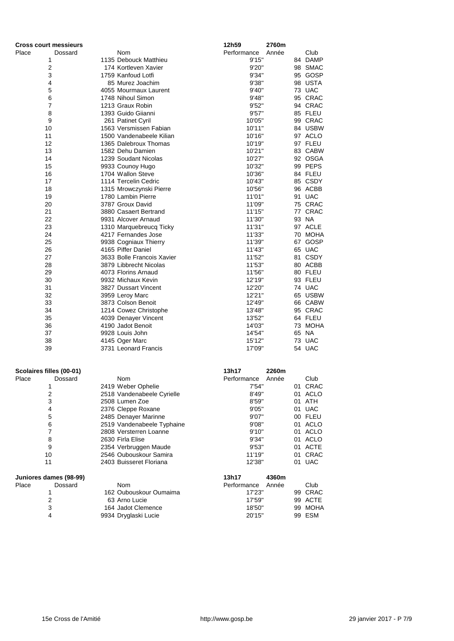| <b>Cross court messieurs</b> |         |                            | 12h59       | 2760m |         |
|------------------------------|---------|----------------------------|-------------|-------|---------|
| Place                        | Dossard | Nom                        | Performance | Année | Club    |
| 1                            |         | 1135 Debouck Matthieu      | 9'15"       |       | 84 DAMP |
| $\overline{2}$               |         | 174 Kortleven Xavier       | 9'20"       |       | 98 SMAC |
| 3                            |         | 1759 Kanfoud Lotfi         | 9'34"       |       | 95 GOSP |
| 4                            |         | 85 Murez Joachim           | 9'38"       |       | 98 USTA |
| 5                            |         | 4055 Mourmaux Laurent      | 9'40"       |       | 73 UAC  |
| 6                            |         | 1748 Nihoul Simon          | 9'48"       |       | 95 CRAC |
| 7                            |         | 1213 Graux Robin           | 9'52"       |       | 94 CRAC |
| 8                            |         | 1393 Guido Giianni         | 9'57''      |       | 85 FLEU |
| 9                            |         | 261 Patinet Cyril          | 10'05"      |       | 99 CRAC |
| 10                           |         | 1563 Versmissen Fabian     | 10'11"      |       | 84 USBW |
| 11                           |         | 1500 Vandenabeele Kilian   | 10'16"      |       | 97 ACLO |
| 12                           |         | 1365 Dalebroux Thomas      | 10'19"      |       | 97 FLEU |
| 13                           |         | 1582 Dehu Damien           | 10'21"      |       | 83 CABW |
| 14                           |         | 1239 Soudant Nicolas       | 10'27"      |       | 92 OSGA |
| 15                           |         | 9933 Counoy Hugo           | 10'32"      |       | 99 PEPS |
| 16                           |         | 1704 Wallon Steve          | 10'36"      |       | 84 FLEU |
| 17                           |         | 1114 Tercelin Cedric       | 10'43"      |       | 85 CSDY |
| 18                           |         | 1315 Mrowczynski Pierre    | 10'56"      |       | 96 ACBB |
| 19                           |         | 1780 Lambin Pierre         | 11'01"      |       | 91 UAC  |
| 20                           |         | 3787 Groux David           | 11'09"      |       | 75 CRAC |
| 21                           |         | 3880 Casaert Bertrand      | 11'15"      |       | 77 CRAC |
| 22                           |         | 9931 Alcover Arnaud        | 11'30"      |       | 93 NA   |
| 23                           |         | 1310 Marquebreucq Ticky    | 11'31"      |       | 97 ACLE |
| 24                           |         | 4217 Fernandes Jose        | 11'33"      |       | 70 MOHA |
| 25                           |         | 9938 Cogniaux Thierry      | 11'39"      |       | 67 GOSP |
| 26                           |         | 4165 Piffer Daniel         | 11'43"      |       | 65 UAC  |
| 27                           |         | 3633 Bolle Francois Xavier | 11'52"      |       | 81 CSDY |
| 28                           |         | 3879 Libbrecht Nicolas     | 11'53"      |       | 80 ACBB |
| 29                           |         | 4073 Florins Arnaud        | 11'56"      |       | 80 FLEU |
| 30                           |         | 9932 Michaux Kevin         | 12'19"      |       | 93 FLEU |
| 31                           |         | 3827 Dussart Vincent       | 12'20"      |       | 74 UAC  |
| 32                           |         | 3959 Leroy Marc            | 12'21"      |       | 65 USBW |
| 33                           |         | 3873 Colson Benoit         | 12'49"      |       | 66 CABW |
| 34                           |         | 1214 Cowez Christophe      | 13'48"      |       | 95 CRAC |
| 35                           |         | 4039 Denayer Vincent       | 13'52"      |       | 64 FLEU |
| 36                           |         | 4190 Jadot Benoit          | 14'03"      |       | 73 MOHA |
| 37                           |         | 9928 Louis John            | 14'54"      |       | 65 NA   |
| 38                           |         | 4145 Oger Marc             | 15'12"      |       | 73 UAC  |
| 39                           |         | 3731 Leonard Francis       | 17'09"      |       | 54 UAC  |
|                              |         |                            |             |       |         |
| Scolaires filles (00-01)     |         |                            | 13h17       | 2260m |         |
| Place                        | Dossard | Nom                        | Performance | Année | Club    |
| 1                            |         | 2419 Weber Ophelie         | 7'54"       |       | 01 CRAC |
| $\overline{\mathbf{c}}$      |         | 2518 Vandenabeele Cyrielle | 8'49"       |       | 01 ACLO |
| 3                            |         | 2508 Lumen Zoe             | 8'59"       |       | 01 ATH  |
| 4                            |         | 2376 Cleppe Roxane         | 9'05"       |       | 01 UAC  |
| 5                            |         | 2485 Denayer Marinne       | 9'07"       |       | 00 FLEU |
| 6                            |         | 2519 Vandenabeele Typhaine | 9'08"       |       | 01 ACLO |
| 7                            |         | 2808 Versterren Loanne     | 9'10"       |       | 01 ACLO |
| 8                            |         | 2630 Firla Elise           | 9'34"       |       | 01 ACLO |
| 9                            |         | 2354 Verbruggen Maude      | 9'53"       |       | 01 ACTE |
| 10                           |         | 2546 Oubouskour Samira     | 11'19"      |       | 01 CRAC |
| 11                           |         | 2403 Buisseret Floriana    | 12'38"      |       | 01 UAC  |
| Juniores dames (98-99)       |         |                            | 13h17       | 4360m |         |
| Place                        | Dossard | Nom                        | Performance | Année | Club    |
| 1                            |         | 162 Oubouskour Oumaima     | 17'23"      |       | 99 CRAC |
| $\overline{\mathbf{c}}$      |         | 63 Arno Lucie              | 17'59"      |       | 99 ACTE |
| 3                            |         | 164 Jadot Clemence         | 18'50"      |       | 99 MOHA |
| 4                            |         | 9934 Dryglaski Lucie       | 20'15"      |       | 99 ESM  |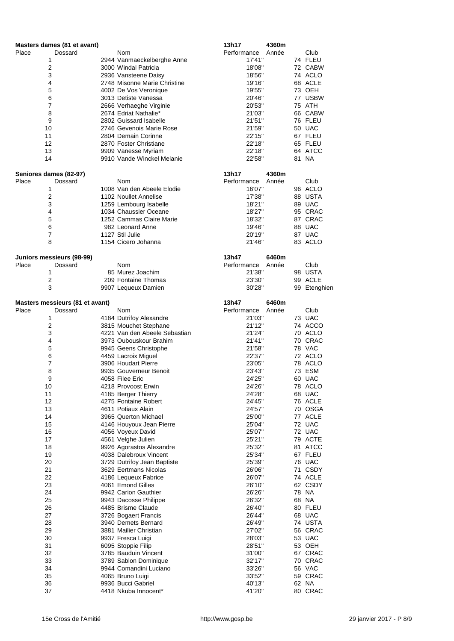|       | Masters dames (81 et avant)     |                 |                                                  | 13h17                 | 4360m |                    |
|-------|---------------------------------|-----------------|--------------------------------------------------|-----------------------|-------|--------------------|
| Place | Dossard                         |                 | Nom                                              | Performance           | Année | Club               |
|       | 1                               |                 | 2944 Vanmaeckelberghe Anne                       | 17'41"                |       | 74 FLEU            |
|       | 2                               |                 | 3000 Windal Patricia                             | 18'08"                |       | 72 CABW            |
|       | 3                               |                 | 2936 Vansteene Daisy                             | 18'56"                |       | 74 ACLO            |
|       | 4                               |                 | 2748 Misonne Marie Christine                     | 19'16"                |       | 68 ACLE            |
|       | 5<br>6                          |                 | 4002 De Vos Veronique<br>3013 Detiste Vanessa    | 19'55"<br>20'46"      |       | 73 OEH<br>77 USBW  |
|       | 7                               |                 | 2666 Verhaeghe Virginie                          | 20'53"                |       | 75 ATH             |
|       | 8                               |                 | 2674 Edriat Nathalie*                            | 21'03"                |       | 66 CABW            |
|       | 9                               |                 | 2802 Guissard Isabelle                           | 21'51"                |       | 76 FLEU            |
|       | 10                              |                 | 2746 Gevenois Marie Rose                         | 21'59"                |       | 50 UAC             |
|       | 11                              |                 | 2804 Demain Corinne                              | 22'15"                |       | 67 FLEU            |
|       | 12                              |                 | 2870 Foster Christiane                           | 22'18"                |       | 65 FLEU            |
|       | 13                              |                 | 9909 Vanesse Myriam                              | 22'18"                |       | 64 ATCC            |
|       | 14                              |                 | 9910 Vande Winckel Melanie                       | 22'58"                |       | 81 NA              |
|       |                                 |                 |                                                  |                       |       |                    |
| Place | Seniores dames (82-97)          |                 | Nom                                              | 13h17                 | 4360m | Club               |
|       | Dossard<br>1                    |                 | 1008 Van den Abeele Elodie                       | Performance<br>16'07" | Année | 96 ACLO            |
|       | 2                               |                 | 1102 Noullet Annelise                            | 17'38"                |       | 88 USTA            |
|       | 3                               |                 | 1259 Lembourg Isabelle                           | 18'21"                |       | 89 UAC             |
|       | 4                               |                 | 1034 Chaussier Oceane                            | 18'27"                |       | 95 CRAC            |
|       | 5                               |                 | 1252 Cammas Claire Marie                         | 18'32"                |       | 87 CRAC            |
|       | 6                               |                 | 982 Leonard Anne                                 | 19'46"                |       | 88 UAC             |
|       | 7                               | 1127 Stil Julie |                                                  | 20'19"                |       | 87 UAC             |
|       | 8                               |                 | 1154 Cicero Johanna                              | 21'46"                |       | 83 ACLO            |
|       |                                 |                 |                                                  |                       |       |                    |
|       | Juniors messieurs (98-99)       |                 |                                                  | 13h47                 | 6460m |                    |
| Place | Dossard                         |                 | <b>Nom</b>                                       | Performance           | Année | Club               |
|       | 1                               |                 | 85 Murez Joachim                                 | 21'38"                |       | 98 USTA            |
|       | 2                               |                 | 209 Fontaine Thomas                              | 23'30"                |       | 99 ACLE            |
|       | 3                               |                 | 9907 Lequeux Damien                              | 30'28"                |       | 99 Etenghien       |
|       | Masters messieurs (81 et avant) |                 |                                                  | 13h47                 | 6460m |                    |
| Place | Dossard                         |                 | Nom                                              | Performance           | Année | Club               |
|       | 1                               |                 | 4184 Dutrifoy Alexandre                          | 21'03"                |       | 73 UAC             |
|       | 2                               |                 | 3815 Mouchet Stephane                            | 21'12"                |       | 74 ACCO            |
|       | 3                               |                 | 4221 Van den Abeele Sebastian                    | 21'24"                |       | 70 ACLO            |
|       | 4                               |                 | 3973 Oubouskour Brahim                           | 21'41"                |       | 70 CRAC            |
|       | 5                               |                 | 9945 Geens Christophe                            | 21'58"                |       | 78 VAC             |
|       | 6                               |                 | 4459 Lacroix Miguel                              | 22'37"                |       | 72 ACLO            |
|       | 7                               |                 | 3906 Houdart Pierre                              | 23'05"                |       | 78 ACLO            |
|       | 8                               |                 | 9935 Gouverneur Benoit                           | 23'43"                |       | 73 ESM             |
|       | 9                               | 4058 Filee Eric |                                                  | 24'25"                |       | 60 UAC             |
|       | 10                              |                 | 4218 Provoost Erwin                              | 24'26"                |       | 78 ACLO            |
|       | 11                              |                 | 4185 Berger Thierry                              | 24'28"                |       | 68 UAC             |
|       | 12                              |                 | 4275 Fontaine Robert                             | 24'45"                |       | 76 ACLE            |
|       | 13<br>14                        |                 | 4611 Potiaux Alain                               | 24'57"<br>25'00"      |       | 70 OSGA<br>77 ACLE |
|       | 15                              |                 | 3965 Querton Michael<br>4146 Houyoux Jean Pierre | 25'04"                |       | 72 UAC             |
|       | 16                              |                 | 4056 Voyeux David                                | 25'07"                |       | 72 UAC             |
|       | 17                              |                 | 4561 Velghe Julien                               | 25'21"                |       | 79 ACTE            |
|       | 18                              |                 | 9926 Agorastos Alexandre                         | 25'32"                |       | 81 ATCC            |
|       | 19                              |                 | 4038 Dalebroux Vincent                           | 25'34"                |       | 67 FLEU            |
|       | 20                              |                 | 3729 Dutrifoy Jean Baptiste                      | 25'39"                |       | 76 UAC             |
|       | 21                              |                 | 3629 Eertmans Nicolas                            | 26'06"                |       | 71 CSDY            |
|       | 22                              |                 | 4186 Lequeux Fabrice                             | 26'07"                |       | 74 ACLE            |
|       | 23                              |                 | 4061 Emond Gilles                                | 26'10"                |       | 62 CSDY            |
|       | 24                              |                 | 9942 Carion Gauthier                             | 26'26"                |       | 78 NA              |
|       | 25                              |                 | 9943 Dacosse Philippe                            | 26'32"                |       | 68 NA              |
|       | 26                              |                 | 4485 Brisme Claude                               | 26'40"                |       | 80 FLEU            |
|       | 27                              |                 | 3726 Bogaert Francis                             | 26'44"                |       | 68 UAC             |
|       | 28                              |                 | 3940 Demets Bernard                              | 26'49"                |       | 74 USTA            |
|       | 29                              |                 | 3881 Mailier Christian                           | 27'02"                |       | 56 CRAC            |
|       | 30                              |                 | 9937 Fresca Luigi                                | 28'03"                |       | 53 UAC             |
|       | 31                              |                 | 6095 Stoppie Filip                               | 28'51"                |       | 53 OEH             |
|       | 32                              |                 | 3785 Bauduin Vincent                             | 31'00"                |       | 67 CRAC            |
|       | 33                              |                 | 3789 Sablon Dominique                            | 32'17"                |       | 70 CRAC            |
|       | 34<br>35                        |                 | 9944 Comandini Luciano                           | 33'26"                |       | 56 VAC<br>59 CRAC  |
|       | 36                              |                 | 4065 Bruno Luigi<br>9936 Bucci Gabriel           | 33'52"<br>40'13"      |       | 62 NA              |
|       | 37                              |                 | 4418 Nkuba Innocent*                             | 41'20"                |       | 80 CRAC            |
|       |                                 |                 |                                                  |                       |       |                    |